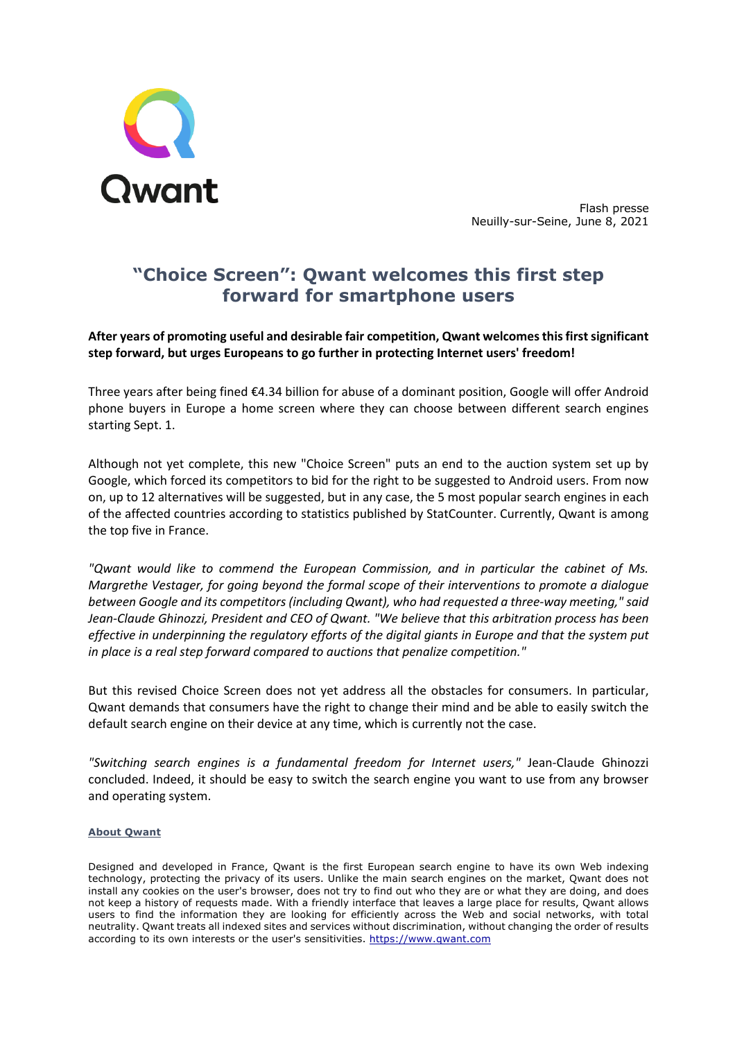

Flash presse Neuilly-sur-Seine, June 8, 2021

# **"Choice Screen": Qwant welcomes this first step forward for smartphone users**

**After years of promoting useful and desirable fair competition, Qwant welcomes this first significant step forward, but urges Europeans to go further in protecting Internet users' freedom!**

Three years after being fined €4.34 billion for abuse of a dominant position, Google will offer Android phone buyers in Europe a home screen where they can choose between different search engines starting Sept. 1.

Although not yet complete, this new "Choice Screen" puts an end to the auction system set up by Google, which forced its competitors to bid for the right to be suggested to Android users. From now on, up to 12 alternatives will be suggested, but in any case, the 5 most popular search engines in each of the affected countries according to statistics published by StatCounter. Currently, Qwant is among the top five in France.

*"Qwant would like to commend the European Commission, and in particular the cabinet of Ms. Margrethe Vestager, for going beyond the formal scope of their interventions to promote a dialogue between Google and its competitors (including Qwant), who had requested a three-way meeting," said Jean-Claude Ghinozzi, President and CEO of Qwant. "We believe that this arbitration process has been effective in underpinning the regulatory efforts of the digital giants in Europe and that the system put in place is a real step forward compared to auctions that penalize competition."*

But this revised Choice Screen does not yet address all the obstacles for consumers. In particular, Qwant demands that consumers have the right to change their mind and be able to easily switch the default search engine on their device at any time, which is currently not the case.

*"Switching search engines is a fundamental freedom for Internet users,"* Jean-Claude Ghinozzi concluded. Indeed, it should be easy to switch the search engine you want to use from any browser and operating system.

#### **About Qwant**

Designed and developed in France, Qwant is the first European search engine to have its own Web indexing technology, protecting the privacy of its users. Unlike the main search engines on the market, Qwant does not install any cookies on the user's browser, does not try to find out who they are or what they are doing, and does not keep a history of requests made. With a friendly interface that leaves a large place for results, Qwant allows users to find the information they are looking for efficiently across the Web and social networks, with total neutrality. Qwant treats all indexed sites and services without discrimination, without changing the order of results according to its own interests or the user's sensitivities. https://www.qwant.com